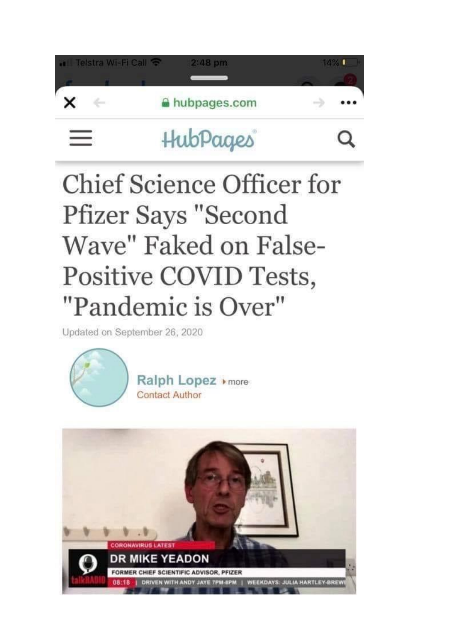

## **Chief Science Officer for Pfizer Says "Second** Wave" Faked on False-Positive COVID Tests, "Pandemic is Over"

Updated on September 26, 2020



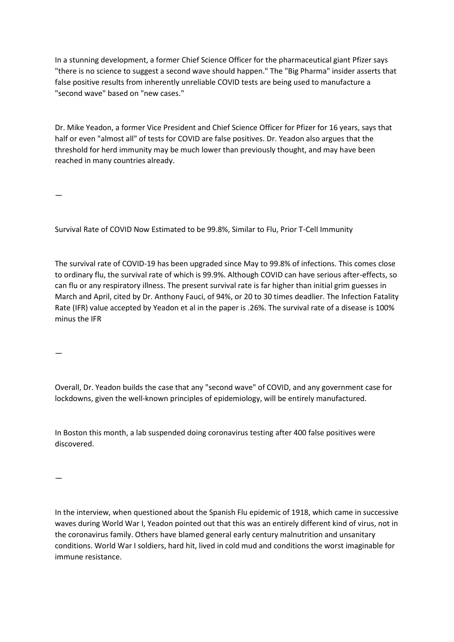In a stunning development, a former Chief Science Officer for the pharmaceutical giant Pfizer says "there is no science to suggest a second wave should happen." The "Big Pharma" insider asserts that false positive results from inherently unreliable COVID tests are being used to manufacture a "second wave" based on "new cases."

Dr. Mike Yeadon, a former Vice President and Chief Science Officer for Pfizer for 16 years, says that half or even "almost all" of tests for COVID are false positives. Dr. Yeadon also argues that the threshold for herd immunity may be much lower than previously thought, and may have been reached in many countries already.

—

Survival Rate of COVID Now Estimated to be 99.8%, Similar to Flu, Prior T-Cell Immunity

The survival rate of COVID-19 has been upgraded since May to 99.8% of infections. This comes close to ordinary flu, the survival rate of which is 99.9%. Although COVID can have serious after-effects, so can flu or any respiratory illness. The present survival rate is far higher than initial grim guesses in March and April, cited by Dr. Anthony Fauci, of 94%, or 20 to 30 times deadlier. The Infection Fatality Rate (IFR) value accepted by Yeadon et al in the paper is .26%. The survival rate of a disease is 100% minus the IFR

—

Overall, Dr. Yeadon builds the case that any "second wave" of COVID, and any government case for lockdowns, given the well-known principles of epidemiology, will be entirely manufactured.

In Boston this month, a lab suspended doing coronavirus testing after 400 false positives were discovered.

—

In the interview, when questioned about the Spanish Flu epidemic of 1918, which came in successive waves during World War I, Yeadon pointed out that this was an entirely different kind of virus, not in the coronavirus family. Others have blamed general early century malnutrition and unsanitary conditions. World War I soldiers, hard hit, lived in cold mud and conditions the worst imaginable for immune resistance.